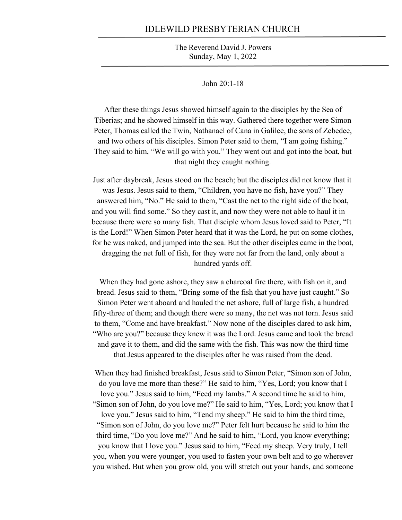The Reverend David J. Powers Sunday, May 1, 2022

John 20:1-18

After these things Jesus showed himself again to the disciples by the Sea of Tiberias; and he showed himself in this way. Gathered there together were Simon Peter, Thomas called the Twin, Nathanael of Cana in Galilee, the sons of Zebedee, and two others of his disciples. Simon Peter said to them, "I am going fishing." They said to him, "We will go with you." They went out and got into the boat, but that night they caught nothing.

Just after daybreak, Jesus stood on the beach; but the disciples did not know that it was Jesus. Jesus said to them, "Children, you have no fish, have you?" They answered him, "No." He said to them, "Cast the net to the right side of the boat, and you will find some." So they cast it, and now they were not able to haul it in because there were so many fish. That disciple whom Jesus loved said to Peter, "It is the Lord!" When Simon Peter heard that it was the Lord, he put on some clothes, for he was naked, and jumped into the sea. But the other disciples came in the boat, dragging the net full of fish, for they were not far from the land, only about a hundred yards off.

When they had gone ashore, they saw a charcoal fire there, with fish on it, and bread. Jesus said to them, "Bring some of the fish that you have just caught." So Simon Peter went aboard and hauled the net ashore, full of large fish, a hundred fifty-three of them; and though there were so many, the net was not torn. Jesus said to them, "Come and have breakfast." Now none of the disciples dared to ask him, "Who are you?" because they knew it was the Lord. Jesus came and took the bread and gave it to them, and did the same with the fish. This was now the third time that Jesus appeared to the disciples after he was raised from the dead.

When they had finished breakfast, Jesus said to Simon Peter, "Simon son of John, do you love me more than these?" He said to him, "Yes, Lord; you know that I love you." Jesus said to him, "Feed my lambs." A second time he said to him, "Simon son of John, do you love me?" He said to him, "Yes, Lord; you know that I love you." Jesus said to him, "Tend my sheep." He said to him the third time, "Simon son of John, do you love me?" Peter felt hurt because he said to him the third time, "Do you love me?" And he said to him, "Lord, you know everything; you know that I love you." Jesus said to him, "Feed my sheep. Very truly, I tell you, when you were younger, you used to fasten your own belt and to go wherever you wished. But when you grow old, you will stretch out your hands, and someone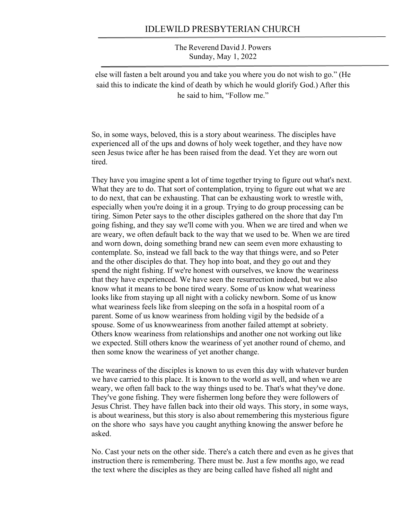The Reverend David J. Powers Sunday, May 1, 2022

else will fasten a belt around you and take you where you do not wish to go." (He said this to indicate the kind of death by which he would glorify God.) After this he said to him, "Follow me."

So, in some ways, beloved, this is a story about weariness. The disciples have experienced all of the ups and downs of holy week together, and they have now seen Jesus twice after he has been raised from the dead. Yet they are worn out tired.

They have you imagine spent a lot of time together trying to figure out what's next. What they are to do. That sort of contemplation, trying to figure out what we are to do next, that can be exhausting. That can be exhausting work to wrestle with, especially when you're doing it in a group. Trying to do group processing can be tiring. Simon Peter says to the other disciples gathered on the shore that day I'm going fishing, and they say we'll come with you. When we are tired and when we are weary, we often default back to the way that we used to be. When we are tired and worn down, doing something brand new can seem even more exhausting to contemplate. So, instead we fall back to the way that things were, and so Peter and the other disciples do that. They hop into boat, and they go out and they spend the night fishing. If we're honest with ourselves, we know the weariness that they have experienced. We have seen the resurrection indeed, but we also know what it means to be bone tired weary. Some of us know what weariness looks like from staying up all night with a colicky newborn. Some of us know what weariness feels like from sleeping on the sofa in a hospital room of a parent. Some of us know weariness from holding vigil by the bedside of a spouse. Some of us knowweariness from another failed attempt at sobriety. Others know weariness from relationships and another one not working out like we expected. Still others know the weariness of yet another round of chemo, and then some know the weariness of yet another change.

The weariness of the disciples is known to us even this day with whatever burden we have carried to this place. It is known to the world as well, and when we are weary, we often fall back to the way things used to be. That's what they've done. They've gone fishing. They were fishermen long before they were followers of Jesus Christ. They have fallen back into their old ways. This story, in some ways, is about weariness, but this story is also about remembering this mysterious figure on the shore who says have you caught anything knowing the answer before he asked.

No. Cast your nets on the other side. There's a catch there and even as he gives that instruction there is remembering. There must be. Just a few months ago, we read the text where the disciples as they are being called have fished all night and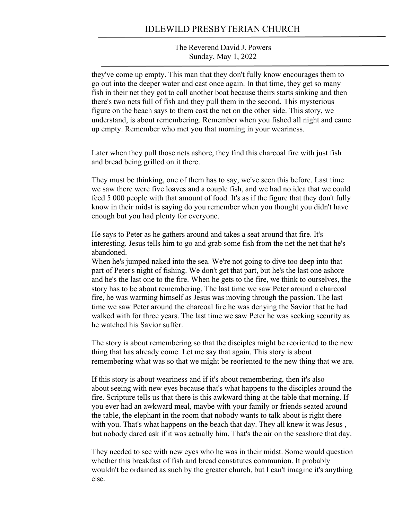The Reverend David J. Powers Sunday, May 1, 2022

they've come up empty. This man that they don't fully know encourages them to go out into the deeper water and cast once again. In that time, they get so many fish in their net they got to call another boat because theirs starts sinking and then there's two nets full of fish and they pull them in the second. This mysterious figure on the beach says to them cast the net on the other side. This story, we understand, is about remembering. Remember when you fished all night and came up empty. Remember who met you that morning in your weariness.

Later when they pull those nets ashore, they find this charcoal fire with just fish and bread being grilled on it there.

They must be thinking, one of them has to say, we've seen this before. Last time we saw there were five loaves and a couple fish, and we had no idea that we could feed 5 000 people with that amount of food. It's as if the figure that they don't fully know in their midst is saying do you remember when you thought you didn't have enough but you had plenty for everyone.

He says to Peter as he gathers around and takes a seat around that fire. It's interesting. Jesus tells him to go and grab some fish from the net the net that he's abandoned.

When he's jumped naked into the sea. We're not going to dive too deep into that part of Peter's night of fishing. We don't get that part, but he's the last one ashore and he's the last one to the fire. When he gets to the fire, we think to ourselves, the story has to be about remembering. The last time we saw Peter around a charcoal fire, he was warming himself as Jesus was moving through the passion. The last time we saw Peter around the charcoal fire he was denying the Savior that he had walked with for three years. The last time we saw Peter he was seeking security as he watched his Savior suffer.

The story is about remembering so that the disciples might be reoriented to the new thing that has already come. Let me say that again. This story is about remembering what was so that we might be reoriented to the new thing that we are.

If this story is about weariness and if it's about remembering, then it's also about seeing with new eyes because that's what happens to the disciples around the fire. Scripture tells us that there is this awkward thing at the table that morning. If you ever had an awkward meal, maybe with your family or friends seated around the table, the elephant in the room that nobody wants to talk about is right there with you. That's what happens on the beach that day. They all knew it was Jesus, but nobody dared ask if it was actually him. That's the air on the seashore that day.

They needed to see with new eyes who he was in their midst. Some would question whether this breakfast of fish and bread constitutes communion. It probably wouldn't be ordained as such by the greater church, but I can't imagine it's anything else.